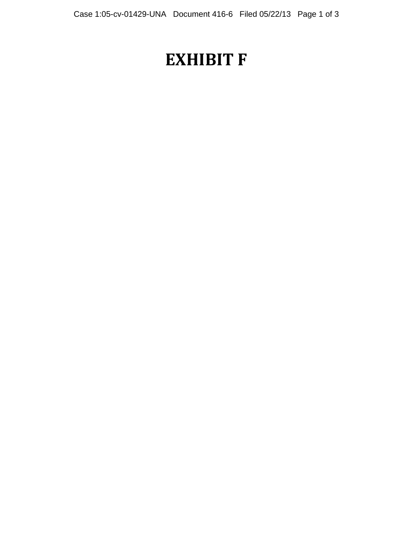## **EXHIBIT F**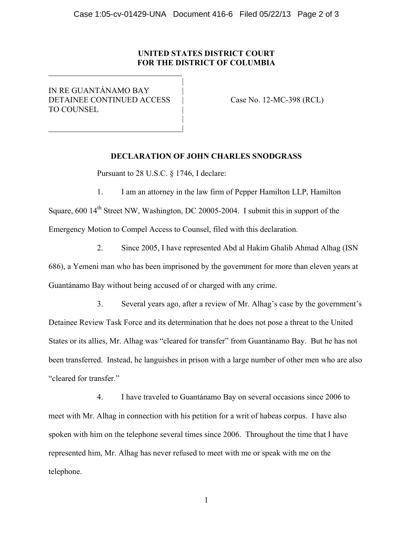## **UNITED STATES DISTRICT COURT FOR THE DISTRICT OF COLUMBIA**

IN RE GUANTÁNAMO BAY | DETAINEE CONTINUED ACCESS | Case No. 12-MC-398 (RCL) TO COUNSEL |

|

 | |

 $\overline{a}$ 

## **DECLARATION OF JOHN CHARLES SNODGRASS**

Pursuant to 28 U.S.C. § 1746, I declare:

1. I am an attorney in the law firm of Pepper Hamilton LLP, Hamilton Square, 600 14<sup>th</sup> Street NW, Washington, DC 20005-2004. I submit this in support of the Emergency Motion to Compel Access to Counsel, filed with this declaration.

2. Since 2005, I have represented Abd al Hakim Ghalib Ahmad Alhag (ISN 686), a Yemeni man who has been imprisoned by the government for more than eleven years at Guantánamo Bay without being accused of or charged with any crime.

3. Several years ago, after a review of Mr. Alhag's case by the government's Detainee Review Task Force and its determination that he does not pose a threat to the United States or its allies, Mr. Alhag was "cleared for transfer" from Guantánamo Bay. But he has not been transferred. Instead, he languishes in prison with a large number of other men who are also "cleared for transfer."

4. I have traveled to Guantánamo Bay on several occasions since 2006 to meet with Mr. Alhag in connection with his petition for a writ of habeas corpus. I have also spoken with him on the telephone several times since 2006. Throughout the time that I have represented him, Mr. Alhag has never refused to meet with me or speak with me on the telephone.

1